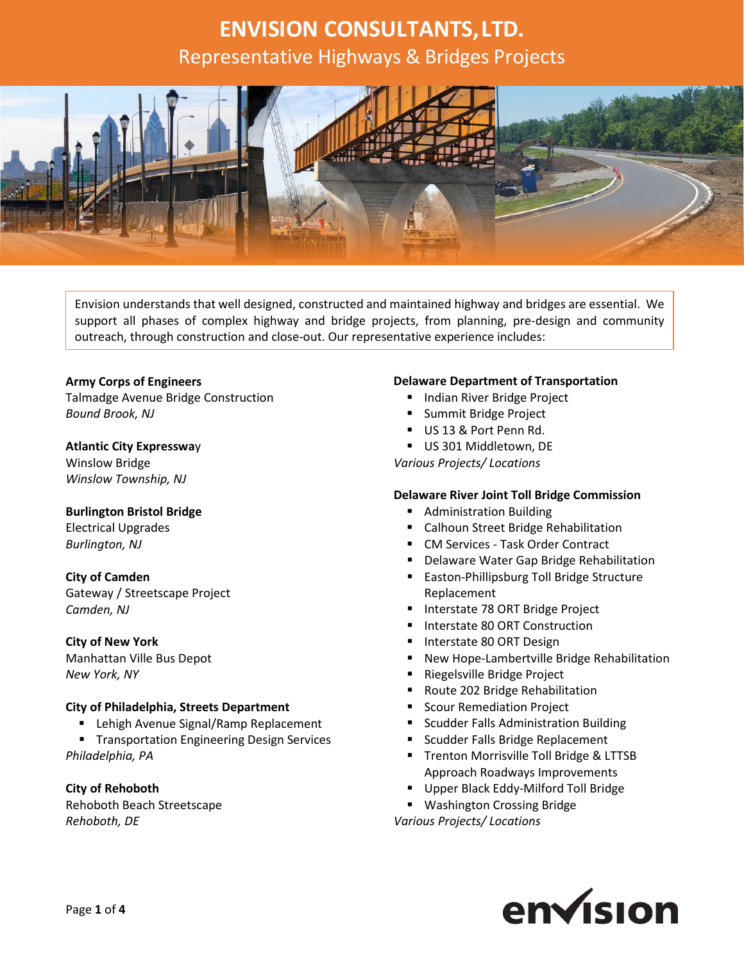

Envision understands that well designed, constructed and maintained highway and bridges are essential. We support all phases of complex highway and bridge projects, from planning, pre-design and community outreach, through construction and close-out. Our representative experience includes:

#### **Army Corps of Engineers**

Talmadge Avenue Bridge Construction *Bound Brook, NJ*

#### **Atlantic City Expresswa**y

Winslow Bridge *Winslow Township, NJ*

#### **Burlington Bristol Bridge**

Electrical Upgrades *Burlington, NJ*

#### **City of Camden**

Gateway / Streetscape Project *Camden, NJ*

#### **City of New York**

Manhattan Ville Bus Depot *New York, NY*

#### **City of Philadelphia, Streets Department**

- **E** Lehigh Avenue Signal/Ramp Replacement
- **Transportation Engineering Design Services** *Philadelphia, PA*

**City of Rehoboth** Rehoboth Beach Streetscape *Rehoboth, DE*

#### **Delaware Department of Transportation**

- **Indian River Bridge Project**
- **Summit Bridge Project**
- US 13 & Port Penn Rd.
- US 301 Middletown, DE

*Various Projects/ Locations*

#### **Delaware River Joint Toll Bridge Commission**

- **Administration Building**
- **E** Calhoun Street Bridge Rehabilitation
- CM Services Task Order Contract
- **Delaware Water Gap Bridge Rehabilitation**
- **Easton-Phillipsburg Toll Bridge Structure** Replacement
- **Interstate 78 ORT Bridge Project**
- **Interstate 80 ORT Construction**
- **Interstate 80 ORT Design**
- **New Hope-Lambertville Bridge Rehabilitation**
- Riegelsville Bridge Project
- Route 202 Bridge Rehabilitation
- **Scour Remediation Project**
- **Scudder Falls Administration Building**
- **Scudder Falls Bridge Replacement**
- **Trenton Morrisville Toll Bridge & LTTSB** Approach Roadways Improvements
- **Upper Black Eddy-Milford Toll Bridge**
- **Washington Crossing Bridge**

*Various Projects/ Locations*

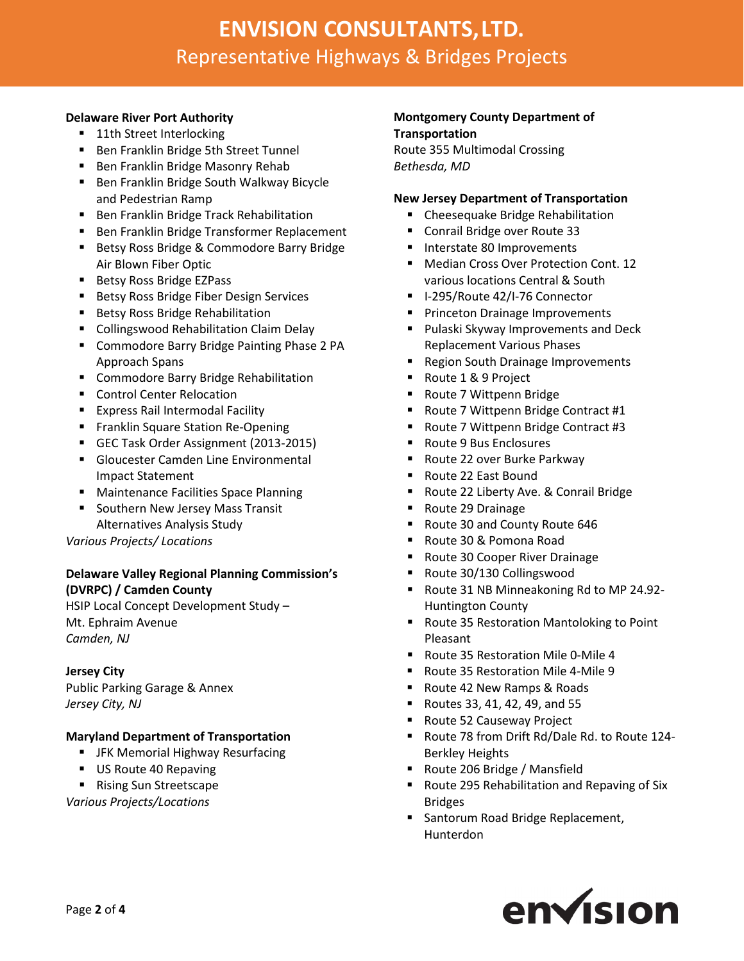#### **Delaware River Port Authority**

- 11th Street Interlocking
- **Ben Franklin Bridge 5th Street Tunnel**
- **Ben Franklin Bridge Masonry Rehab**
- **Ben Franklin Bridge South Walkway Bicycle** and Pedestrian Ramp
- **Ben Franklin Bridge Track Rehabilitation**
- **Ben Franklin Bridge Transformer Replacement**
- Betsy Ross Bridge & Commodore Barry Bridge Air Blown Fiber Optic
- Betsy Ross Bridge EZPass
- **Betsy Ross Bridge Fiber Design Services**
- **Betsy Ross Bridge Rehabilitation**
- **E** Collingswood Rehabilitation Claim Delay
- **EXP** Commodore Barry Bridge Painting Phase 2 PA Approach Spans
- **E** Commodore Barry Bridge Rehabilitation
- **Control Center Relocation**
- **Express Rail Intermodal Facility**
- **Filter Franklin Square Station Re-Opening**
- GEC Task Order Assignment (2013-2015)
- Gloucester Camden Line Environmental Impact Statement
- **Maintenance Facilities Space Planning**
- **Southern New Jersey Mass Transit** Alternatives Analysis Study

*Various Projects/ Locations*

## **Delaware Valley Regional Planning Commission's (DVRPC) / Camden County**

HSIP Local Concept Development Study – Mt. Ephraim Avenue *Camden, NJ*

#### **Jersey City**

Public Parking Garage & Annex *Jersey City, NJ*

#### **Maryland Department of Transportation**

- **F** JFK Memorial Highway Resurfacing
- US Route 40 Repaving
- Rising Sun Streetscape

*Various Projects/Locations*

#### **Montgomery County Department of Transportation**

Route 355 Multimodal Crossing *Bethesda, MD*

#### **New Jersey Department of Transportation**

- **EXEC** Cheesequake Bridge Rehabilitation
- **Conrail Bridge over Route 33**
- **Interstate 80 Improvements**
- Median Cross Over Protection Cont. 12 various locations Central & South
- I-295/Route 42/I-76 Connector
- **Princeton Drainage Improvements**
- **Pulaski Skyway Improvements and Deck** Replacement Various Phases
- **Region South Drainage Improvements**
- Route 1 & 9 Project
- Route 7 Wittpenn Bridge
- Route 7 Wittpenn Bridge Contract #1
- Route 7 Wittpenn Bridge Contract #3
- Route 9 Bus Enclosures
- Route 22 over Burke Parkway
- Route 22 East Bound
- Route 22 Liberty Ave. & Conrail Bridge
- Route 29 Drainage
- Route 30 and County Route 646
- Route 30 & Pomona Road
- Route 30 Cooper River Drainage
- Route 30/130 Collingswood
- Route 31 NB Minneakoning Rd to MP 24.92- Huntington County
- Route 35 Restoration Mantoloking to Point Pleasant
- Route 35 Restoration Mile 0-Mile 4
- Route 35 Restoration Mile 4-Mile 9
- Route 42 New Ramps & Roads
- Routes 33, 41, 42, 49, and 55
- Route 52 Causeway Project
- Route 78 from Drift Rd/Dale Rd. to Route 124- Berkley Heights
- Route 206 Bridge / Mansfield
- **Route 295 Rehabilitation and Repaving of Six** Bridges
- **Santorum Road Bridge Replacement,** Hunterdon

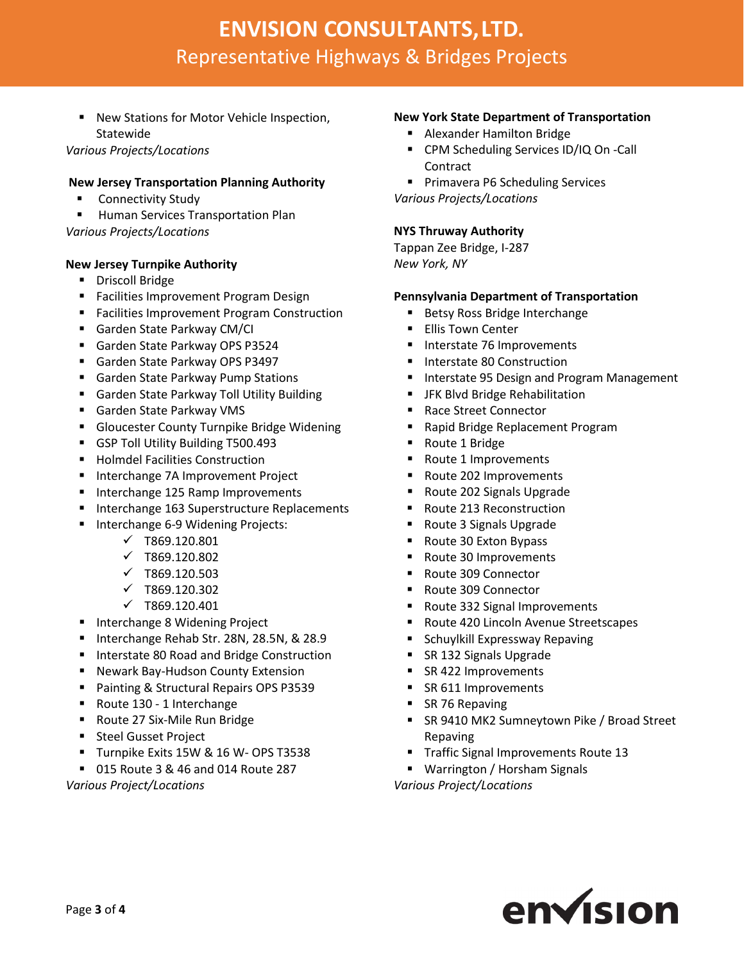New Stations for Motor Vehicle Inspection, Statewide

*Various Projects/Locations*

## **New Jersey Transportation Planning Authority**

- **E** Connectivity Study
- **Human Services Transportation Plan** *Various Projects/Locations*

## **New Jersey Turnpike Authority**

- **-** Driscoll Bridge
- **Facilities Improvement Program Design**
- **Facilities Improvement Program Construction**
- Garden State Parkway CM/CI
- Garden State Parkway OPS P3524
- Garden State Parkway OPS P3497
- **Garden State Parkway Pump Stations**
- **Garden State Parkway Toll Utility Building**
- Garden State Parkway VMS
- **Gloucester County Turnpike Bridge Widening**
- GSP Toll Utility Building T500.493
- **Holmdel Facilities Construction**
- **Interchange 7A Improvement Project**
- Interchange 125 Ramp Improvements
- Interchange 163 Superstructure Replacements
- Interchange 6-9 Widening Projects:
	- $\checkmark$  T869.120.801
	- $\times$  T869.120.802
	- $\checkmark$  T869.120.503
	- $\checkmark$  T869.120.302
	- $\checkmark$  T869.120.401
- **Interchange 8 Widening Project**
- Interchange Rehab Str. 28N, 28.5N, & 28.9
- **Interstate 80 Road and Bridge Construction**
- **Newark Bay-Hudson County Extension**
- **Painting & Structural Repairs OPS P3539**
- Route 130 1 Interchange
- Route 27 Six-Mile Run Bridge
- **Steel Gusset Project**
- Turnpike Exits 15W & 16 W- OPS T3538
- 015 Route 3 & 46 and 014 Route 287

*Various Project/Locations*

### **New York State Department of Transportation**

- Alexander Hamilton Bridge
- CPM Scheduling Services ID/IQ On -Call **Contract**
- **Primavera P6 Scheduling Services**

*Various Projects/Locations*

### **NYS Thruway Authority**

Tappan Zee Bridge, I-287 *New York, NY*

### **Pennsylvania Department of Transportation**

- Betsy Ross Bridge Interchange
- **Ellis Town Center**
- **Interstate 76 Improvements**
- **Interstate 80 Construction**
- Interstate 95 Design and Program Management
- **F** JFK Blvd Bridge Rehabilitation
- Race Street Connector
- Rapid Bridge Replacement Program
- Route 1 Bridge
- Route 1 Improvements
- Route 202 Improvements
- Route 202 Signals Upgrade
- Route 213 Reconstruction
- Route 3 Signals Upgrade
- Route 30 Exton Bypass
- Route 30 Improvements
- Route 309 Connector
- Route 309 Connector
- Route 332 Signal Improvements
- Route 420 Lincoln Avenue Streetscapes
- **E** Schuylkill Expressway Repaving
- SR 132 Signals Upgrade
- SR 422 Improvements
- SR 611 Improvements
- SR 76 Repaving
- **SR 9410 MK2 Sumneytown Pike / Broad Street** Repaving
- **Traffic Signal Improvements Route 13**
- Warrington / Horsham Signals

*Various Project/Locations*